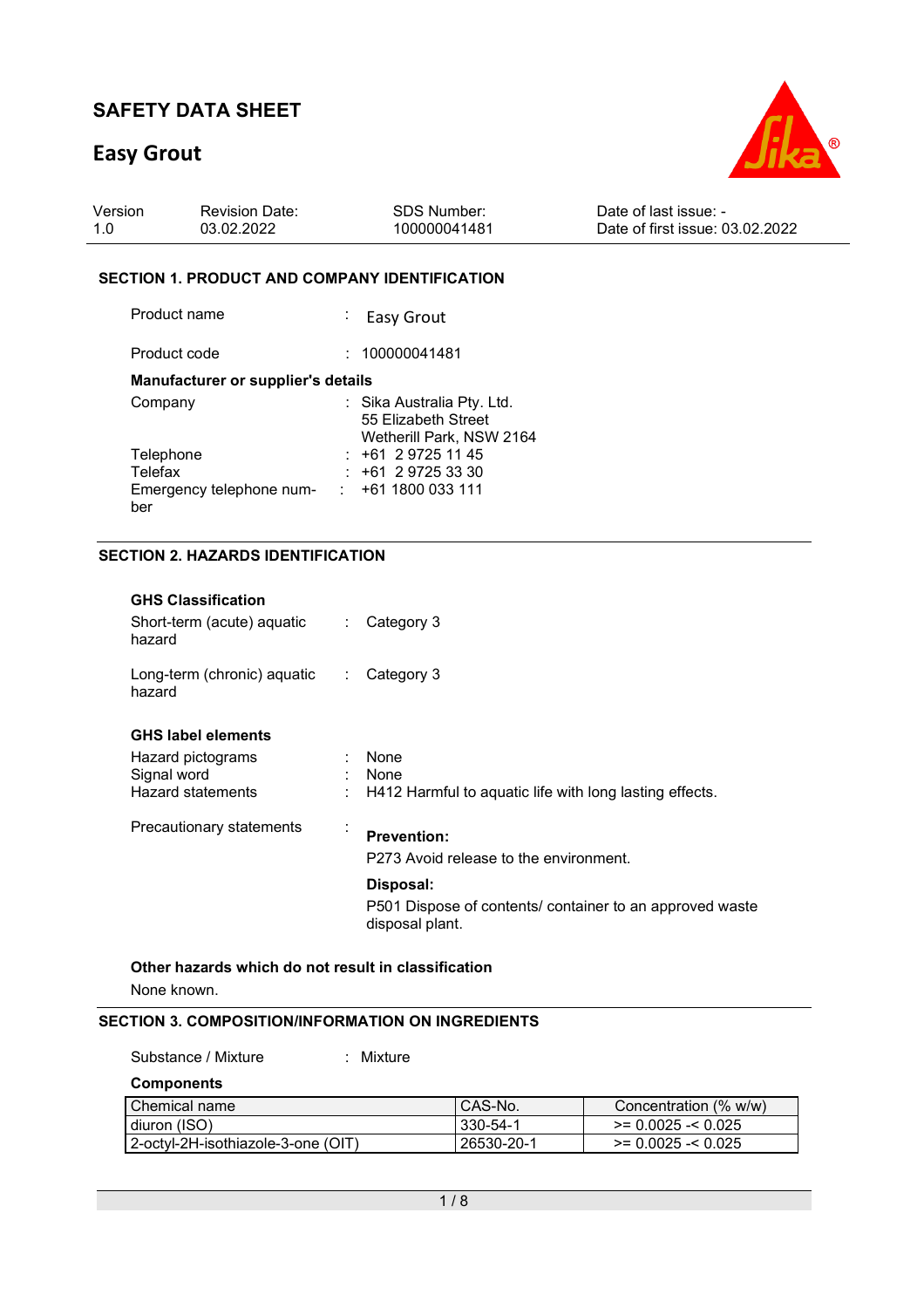# **Easy Grout**

ber



| Version | <b>Revision Date:</b> | SDS Number:  | Date of last issue: -           |
|---------|-----------------------|--------------|---------------------------------|
| 1.0     | 03.02.2022            | 100000041481 | Date of first issue: 03.02.2022 |

#### **SECTION 1. PRODUCT AND COMPANY IDENTIFICATION**

| Product name                       | : Easy Grout               |
|------------------------------------|----------------------------|
| Product code                       | : 100000041481             |
| Manufacturer or supplier's details |                            |
| Company                            | : Sika Australia Pty. Ltd. |
|                                    | 55 Elizabeth Street        |
|                                    | Wetherill Park, NSW 2164   |
| Telephone                          | $: +61297251145$           |
| Telefax                            | $: +61297253330$           |
| Emergency telephone num-           | +61 1800 033 111           |

### **SECTION 2. HAZARDS IDENTIFICATION**

| <b>GHS Classification</b><br>Short-term (acute) aquatic<br>hazard                         | Category 3<br>÷.                                                                                                                                                    |
|-------------------------------------------------------------------------------------------|---------------------------------------------------------------------------------------------------------------------------------------------------------------------|
| Long-term (chronic) aquatic<br>hazard                                                     | Category 3<br>$\mathcal{L}_{\mathrm{max}}$                                                                                                                          |
| <b>GHS label elements</b><br>Hazard pictograms<br>Signal word<br><b>Hazard statements</b> | None<br>None<br>H412 Harmful to aquatic life with long lasting effects.                                                                                             |
| Precautionary statements                                                                  | $\cdot$<br><b>Prevention:</b><br>P273 Avoid release to the environment.<br>Disposal:<br>P501 Dispose of contents/ container to an approved waste<br>disposal plant. |
| Other hazards which do not result in classification                                       |                                                                                                                                                                     |

None known.

#### **SECTION 3. COMPOSITION/INFORMATION ON INGREDIENTS**

| Substance / Mixture<br>: Mixture   |                |                            |
|------------------------------------|----------------|----------------------------|
| <b>Components</b>                  |                |                            |
| Chemical name                      | CAS-No.        | Concentration (% w/w)      |
| diuron (ISO)                       | $330 - 54 - 1$ | $\ge$ = 0.0025 - $<$ 0.025 |
| 2-octyl-2H-isothiazole-3-one (OIT) | 26530-20-1     | $\ge$ = 0.0025 - $<$ 0.025 |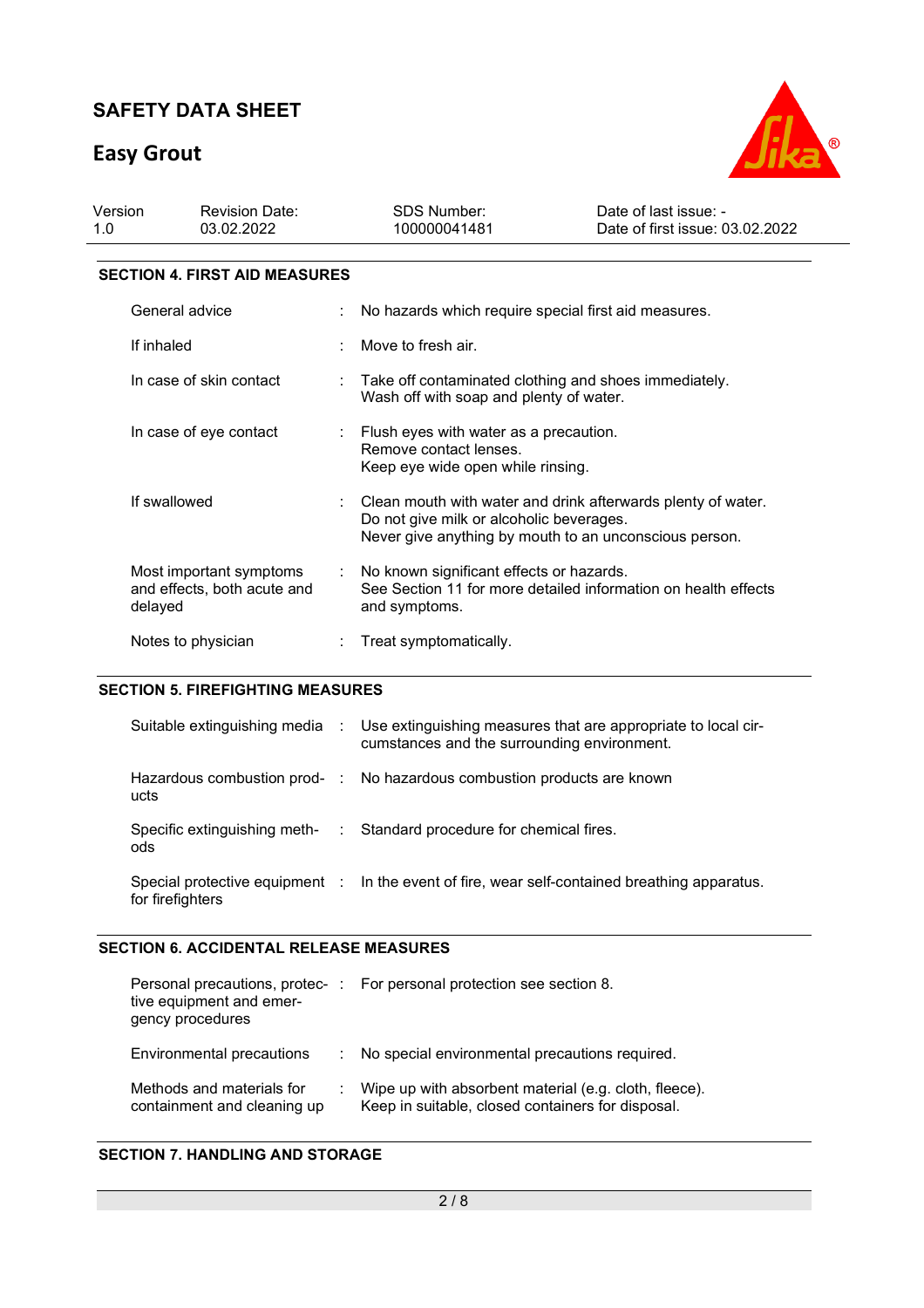# **Easy Grout**



| Version<br>1.0          | <b>Revision Date:</b><br>03.02.2022  |    | SDS Number:<br>100000041481                                                                                   | Date of last issue: -<br>Date of first issue: 03.02.2022 |
|-------------------------|--------------------------------------|----|---------------------------------------------------------------------------------------------------------------|----------------------------------------------------------|
|                         | <b>SECTION 4. FIRST AID MEASURES</b> |    |                                                                                                               |                                                          |
|                         | General advice                       |    | No hazards which require special first aid measures.                                                          |                                                          |
|                         | If inhaled                           |    | Move to fresh air.                                                                                            |                                                          |
| In case of skin contact |                                      |    | $\therefore$ Take off contaminated clothing and shoes immediately.<br>Wash off with soap and plenty of water. |                                                          |
|                         | In case of eye contact               | ÷. | Flush eyes with water as a precaution.<br>Remove contact lenses.<br>Keep eye wide open while rinsing.         |                                                          |

| If swallowed                                                      | Clean mouth with water and drink afterwards plenty of water.<br>Do not give milk or alcoholic beverages.<br>Never give anything by mouth to an unconscious person. |
|-------------------------------------------------------------------|--------------------------------------------------------------------------------------------------------------------------------------------------------------------|
| Most important symptoms<br>and effects, both acute and<br>delayed | No known significant effects or hazards.<br>See Section 11 for more detailed information on health effects<br>and symptoms.                                        |
| Notes to physician                                                | Treat symptomatically.                                                                                                                                             |

## **SECTION 5. FIREFIGHTING MEASURES**

|                  | Suitable extinguishing media : Use extinguishing measures that are appropriate to local cir-<br>cumstances and the surrounding environment. |
|------------------|---------------------------------------------------------------------------------------------------------------------------------------------|
| ucts             | Hazardous combustion prod- : No hazardous combustion products are known                                                                     |
| ods              | Specific extinguishing meth- : Standard procedure for chemical fires.                                                                       |
| for firefighters | Special protective equipment : In the event of fire, wear self-contained breathing apparatus.                                               |

## **SECTION 6. ACCIDENTAL RELEASE MEASURES**

| tive equipment and emer-<br>gency procedures             | Personal precautions, protec-: For personal protection see section 8.                                      |
|----------------------------------------------------------|------------------------------------------------------------------------------------------------------------|
| Environmental precautions                                | No special environmental precautions required.                                                             |
| Methods and materials for<br>containment and cleaning up | Wipe up with absorbent material (e.g. cloth, fleece).<br>Keep in suitable, closed containers for disposal. |

#### **SECTION 7. HANDLING AND STORAGE**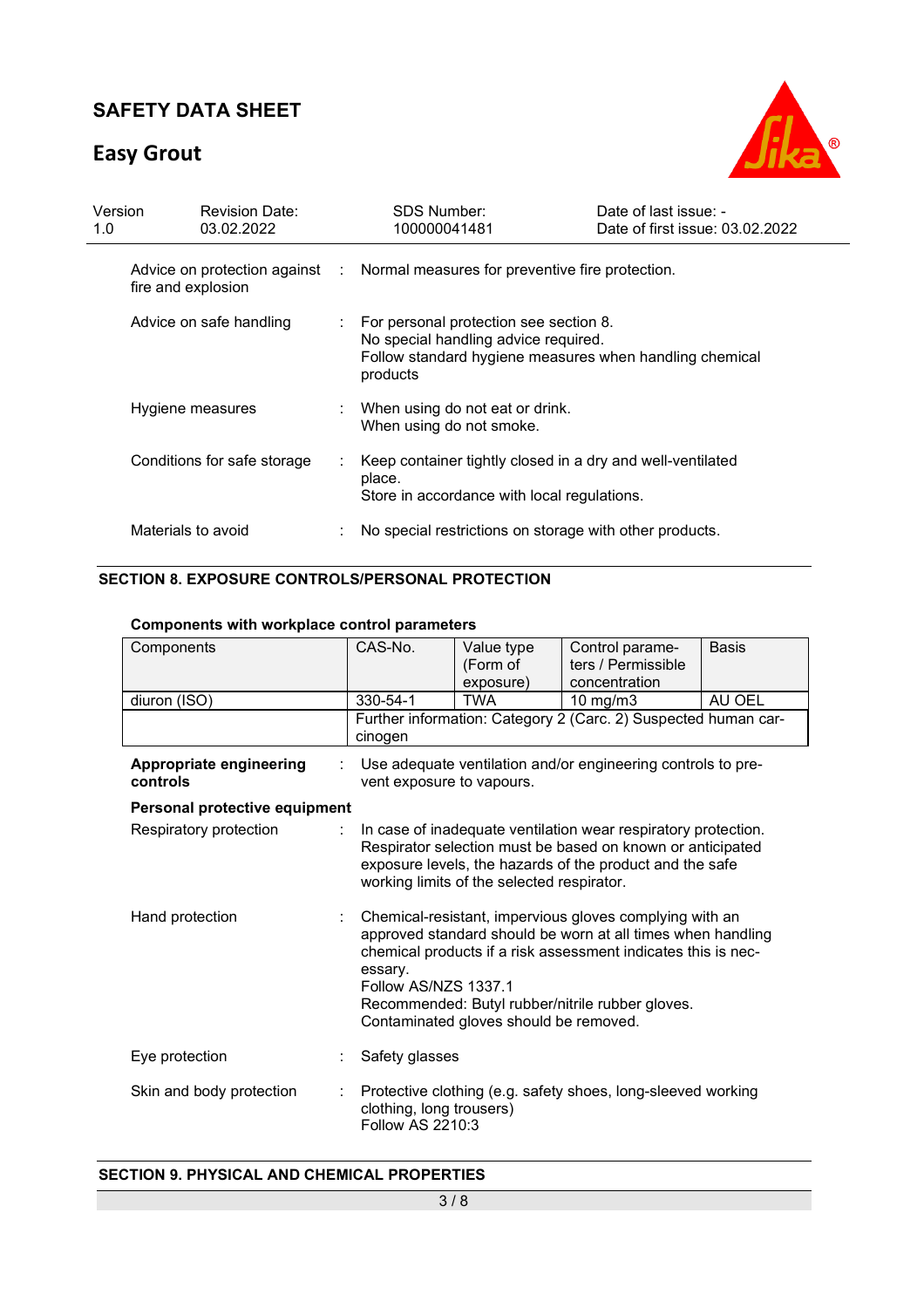# **Easy Grout**



| Version<br>1.0 |                    | <b>Revision Date:</b><br>03.02.2022 | <b>SDS Number:</b><br>100000041481                                                                                                                      | Date of last issue: -<br>Date of first issue: 03.02.2022 |
|----------------|--------------------|-------------------------------------|---------------------------------------------------------------------------------------------------------------------------------------------------------|----------------------------------------------------------|
|                | fire and explosion |                                     | Advice on protection against : Normal measures for preventive fire protection.                                                                          |                                                          |
|                |                    | Advice on safe handling             | : For personal protection see section 8.<br>No special handling advice required.<br>Follow standard hygiene measures when handling chemical<br>products |                                                          |
|                | Hygiene measures   |                                     | When using do not eat or drink.<br>When using do not smoke.                                                                                             |                                                          |
|                |                    | Conditions for safe storage         | Keep container tightly closed in a dry and well-ventilated<br>place.<br>Store in accordance with local regulations.                                     |                                                          |
|                | Materials to avoid |                                     | No special restrictions on storage with other products.                                                                                                 |                                                          |

## **SECTION 8. EXPOSURE CONTROLS/PERSONAL PROTECTION**

### **Components with workplace control parameters**

| Components                          | CAS-No.                                                                                                                                                                                                                                                                                                                  | Value type<br>(Form of<br>exposure)                                                                                                                                                                                                    | Control parame-<br>ters / Permissible<br>concentration         | <b>Basis</b> |
|-------------------------------------|--------------------------------------------------------------------------------------------------------------------------------------------------------------------------------------------------------------------------------------------------------------------------------------------------------------------------|----------------------------------------------------------------------------------------------------------------------------------------------------------------------------------------------------------------------------------------|----------------------------------------------------------------|--------------|
| diuron (ISO)                        | 330-54-1                                                                                                                                                                                                                                                                                                                 | <b>TWA</b>                                                                                                                                                                                                                             | $10$ mg/m $3$                                                  | AU OEL       |
|                                     | cinogen                                                                                                                                                                                                                                                                                                                  |                                                                                                                                                                                                                                        | Further information: Category 2 (Carc. 2) Suspected human car- |              |
| Appropriate engineering<br>controls | vent exposure to vapours.                                                                                                                                                                                                                                                                                                |                                                                                                                                                                                                                                        | Use adequate ventilation and/or engineering controls to pre-   |              |
| Personal protective equipment       |                                                                                                                                                                                                                                                                                                                          |                                                                                                                                                                                                                                        |                                                                |              |
| Respiratory protection<br>÷.        |                                                                                                                                                                                                                                                                                                                          | In case of inadequate ventilation wear respiratory protection.<br>Respirator selection must be based on known or anticipated<br>exposure levels, the hazards of the product and the safe<br>working limits of the selected respirator. |                                                                |              |
| Hand protection                     | Chemical-resistant, impervious gloves complying with an<br>approved standard should be worn at all times when handling<br>chemical products if a risk assessment indicates this is nec-<br>essary.<br>Follow AS/NZS 1337.1<br>Recommended: Butyl rubber/nitrile rubber gloves.<br>Contaminated gloves should be removed. |                                                                                                                                                                                                                                        |                                                                |              |
| Eye protection                      | Safety glasses                                                                                                                                                                                                                                                                                                           |                                                                                                                                                                                                                                        |                                                                |              |
| Skin and body protection            | clothing, long trousers)<br>Follow AS 2210:3                                                                                                                                                                                                                                                                             |                                                                                                                                                                                                                                        | Protective clothing (e.g. safety shoes, long-sleeved working   |              |

### **SECTION 9. PHYSICAL AND CHEMICAL PROPERTIES**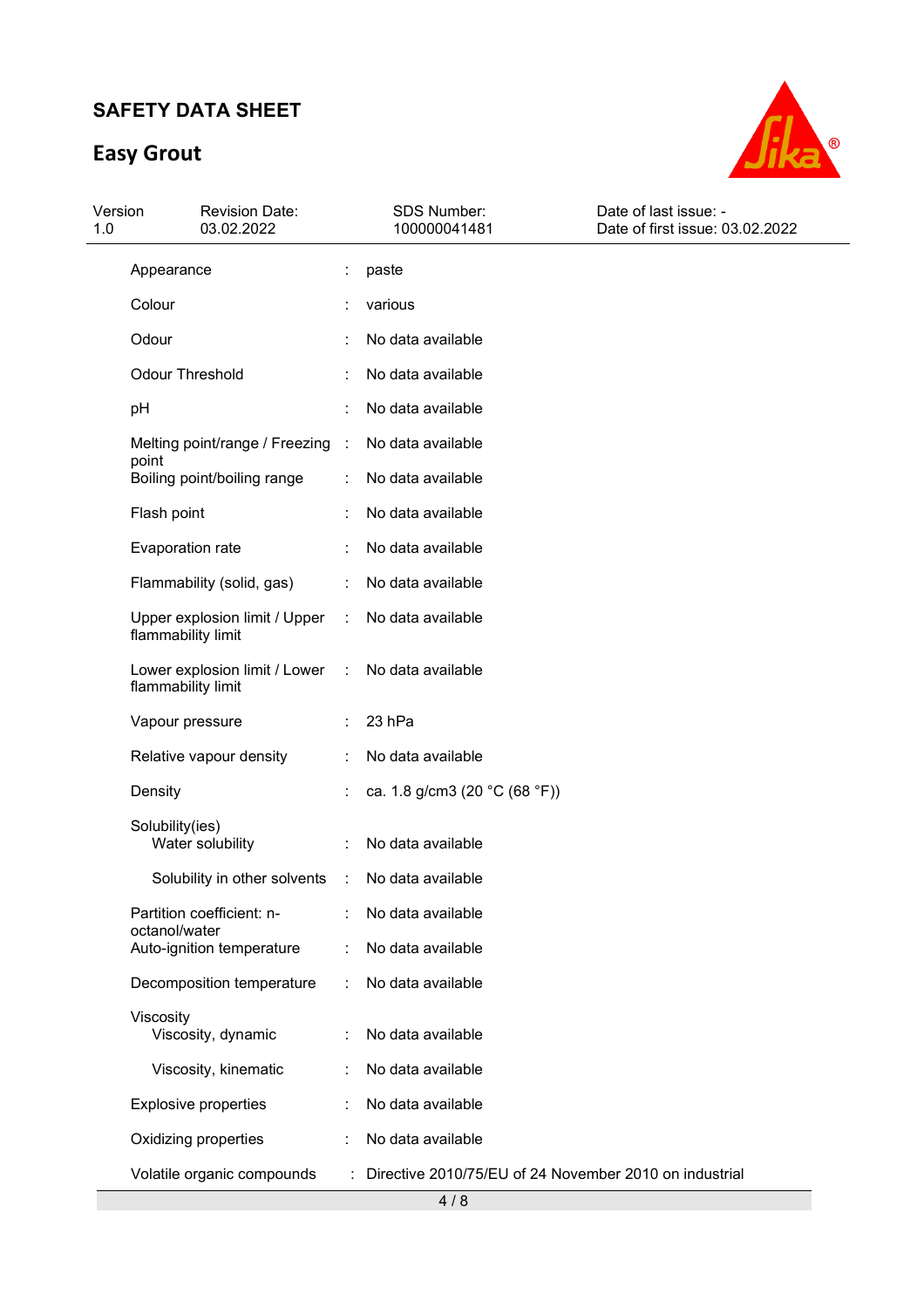# **Easy Grout**



| Version<br>1.0 | <b>Revision Date:</b><br>03.02.2022                 |                | SDS Number:<br>100000041481                            | Date of last issue: -<br>Date of first issue: 03.02.2022 |
|----------------|-----------------------------------------------------|----------------|--------------------------------------------------------|----------------------------------------------------------|
|                | Appearance                                          |                | paste                                                  |                                                          |
|                | Colour                                              |                | various                                                |                                                          |
|                | Odour                                               |                | No data available                                      |                                                          |
|                | <b>Odour Threshold</b>                              |                | No data available                                      |                                                          |
| pH             |                                                     |                | No data available                                      |                                                          |
|                | Melting point/range / Freezing                      | $\sim$         | No data available                                      |                                                          |
|                | point<br>Boiling point/boiling range                |                | No data available                                      |                                                          |
|                | Flash point                                         |                | No data available                                      |                                                          |
|                | Evaporation rate                                    |                | No data available                                      |                                                          |
|                | Flammability (solid, gas)                           |                | No data available                                      |                                                          |
|                | Upper explosion limit / Upper<br>flammability limit | ÷              | No data available                                      |                                                          |
|                | Lower explosion limit / Lower<br>flammability limit | $\sim$ 10 $\,$ | No data available                                      |                                                          |
|                | Vapour pressure                                     |                | 23 hPa                                                 |                                                          |
|                | Relative vapour density                             |                | No data available                                      |                                                          |
|                | Density                                             |                | ca. 1.8 g/cm3 (20 °C (68 °F))                          |                                                          |
|                | Solubility(ies)<br>Water solubility                 |                | No data available                                      |                                                          |
|                | Solubility in other solvents                        | $\sim 10$      | No data available                                      |                                                          |
|                | Partition coefficient: n-                           |                | No data available                                      |                                                          |
|                | octanol/water<br>Auto-ignition temperature          |                | No data available                                      |                                                          |
|                | Decomposition temperature                           |                | No data available                                      |                                                          |
|                | Viscosity<br>Viscosity, dynamic                     |                | No data available                                      |                                                          |
|                | Viscosity, kinematic                                |                | No data available                                      |                                                          |
|                | <b>Explosive properties</b>                         |                | No data available                                      |                                                          |
|                | Oxidizing properties                                |                | No data available                                      |                                                          |
|                | Volatile organic compounds                          |                | Directive 2010/75/EU of 24 November 2010 on industrial |                                                          |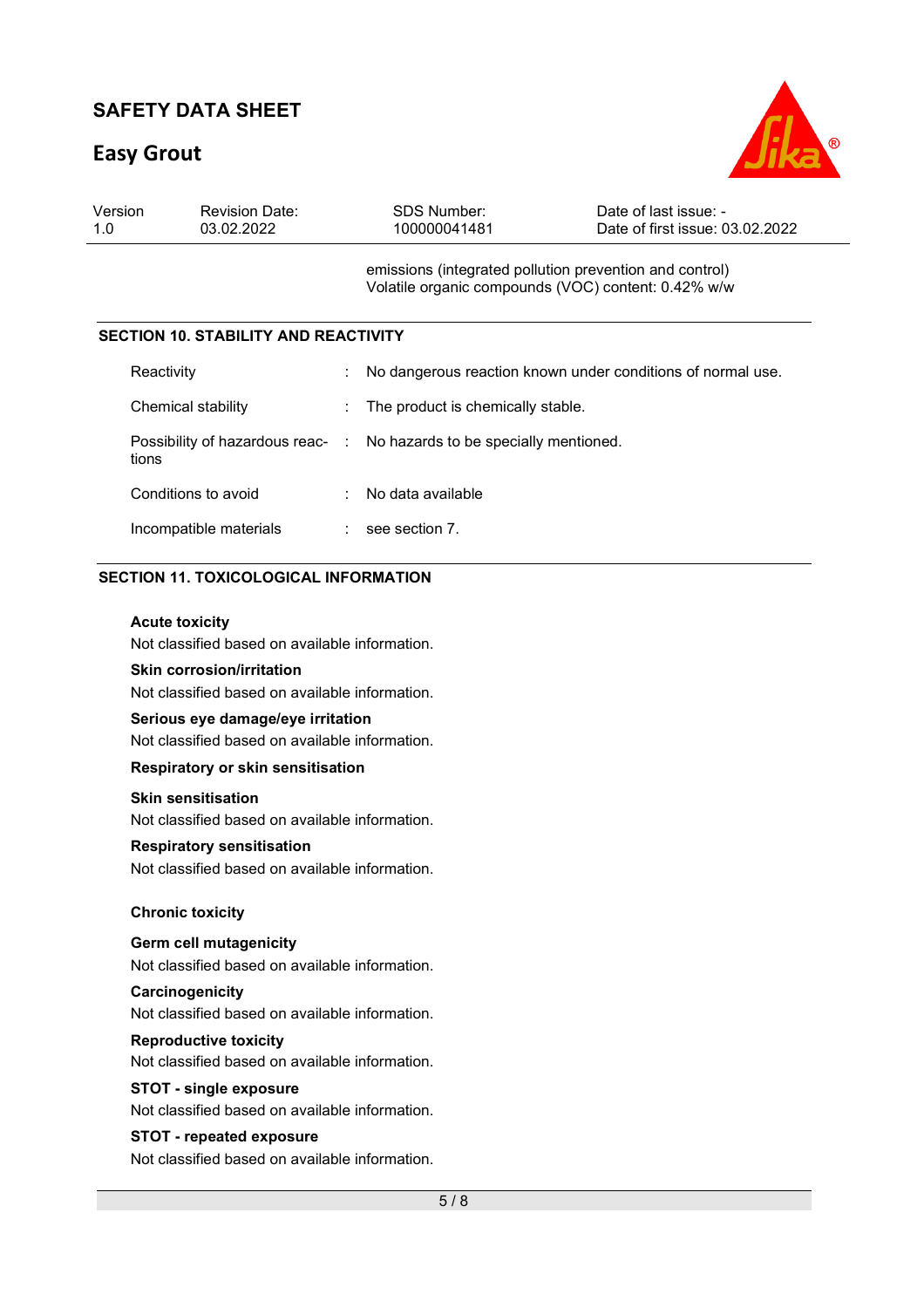# **Easy Grout**



| Version | <b>Revision Date:</b> | SDS Number:  | Date of last issue: -           |
|---------|-----------------------|--------------|---------------------------------|
| 1.0     | 03.02.2022            | 100000041481 | Date of first issue: 03.02.2022 |

emissions (integrated pollution prevention and control) Volatile organic compounds (VOC) content: 0.42% w/w

### **SECTION 10. STABILITY AND REACTIVITY**

| Reactivity             | ÷ | No dangerous reaction known under conditions of normal use.            |
|------------------------|---|------------------------------------------------------------------------|
| Chemical stability     |   | : The product is chemically stable.                                    |
| tions                  |   | Possibility of hazardous reac- : No hazards to be specially mentioned. |
| Conditions to avoid    | ÷ | No data available                                                      |
| Incompatible materials |   | see section 7.                                                         |

### **SECTION 11. TOXICOLOGICAL INFORMATION**

#### **Acute toxicity**

Not classified based on available information.

### **Skin corrosion/irritation**

Not classified based on available information.

#### **Serious eye damage/eye irritation**

Not classified based on available information.

### **Respiratory or skin sensitisation**

#### **Skin sensitisation**

Not classified based on available information.

#### **Respiratory sensitisation**

Not classified based on available information.

#### **Chronic toxicity**

#### **Germ cell mutagenicity**

Not classified based on available information.

#### **Carcinogenicity**

Not classified based on available information.

#### **Reproductive toxicity**

Not classified based on available information.

#### **STOT - single exposure**

Not classified based on available information.

#### **STOT - repeated exposure**

Not classified based on available information.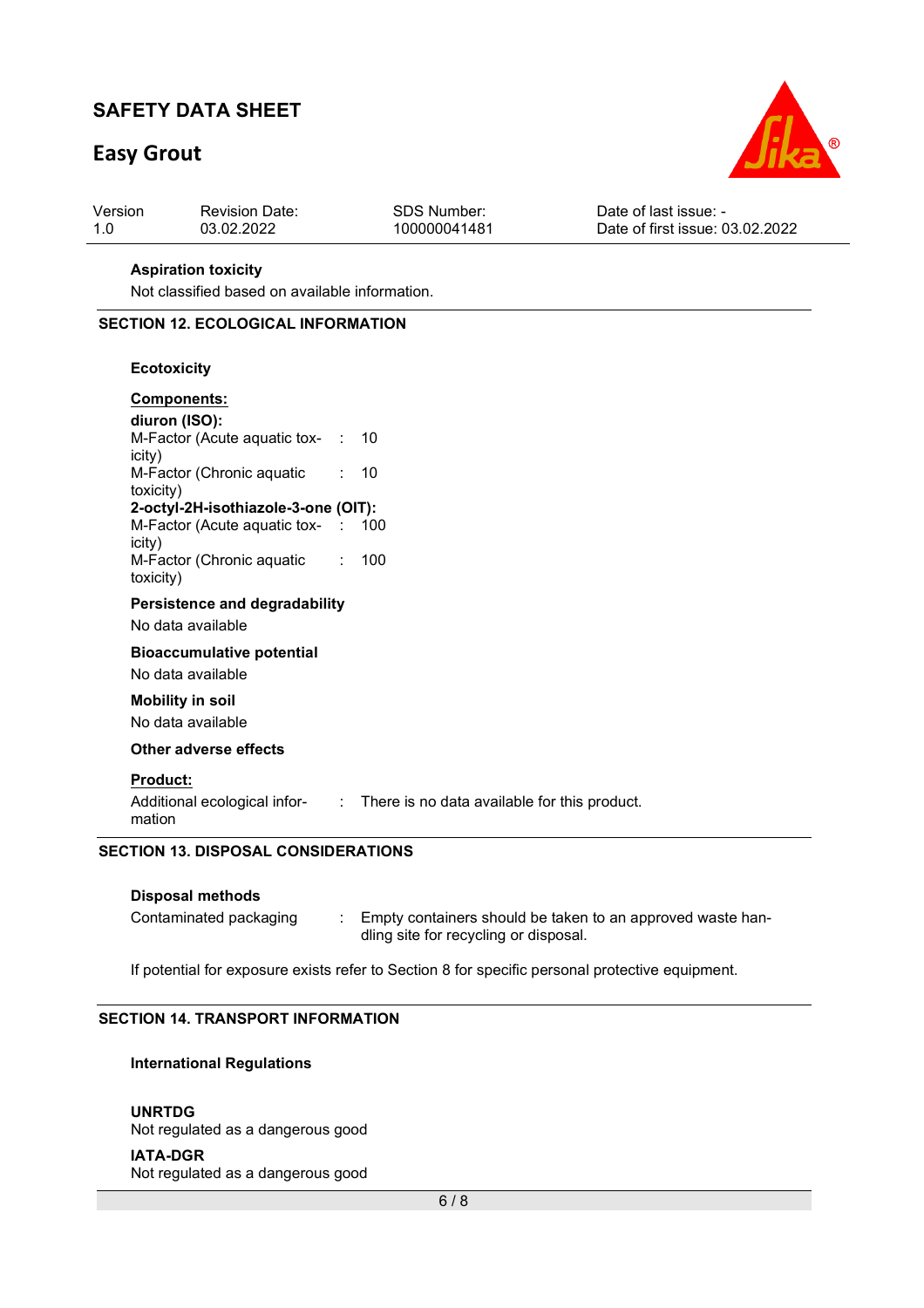# **Easy Grout**



| Version | <b>Revision Date:</b> | SDS Number:  | Date of last issue: -           |
|---------|-----------------------|--------------|---------------------------------|
|         | 03.02.2022            | 100000041481 | Date of first issue: 03.02.2022 |

#### **Aspiration toxicity**

Not classified based on available information.

#### **SECTION 12. ECOLOGICAL INFORMATION**

#### **Ecotoxicity**

| <b>Components:</b>                       |     |
|------------------------------------------|-----|
| diuron (ISO):                            |     |
| M-Factor (Acute aquatic tox- :<br>icity) | 10  |
| M-Factor (Chronic aquatic<br>toxicity)   | 10  |
| 2-octyl-2H-isothiazole-3-one (OIT):      |     |
| M-Factor (Acute aquatic tox- :<br>icity) | 100 |
| M-Factor (Chronic aquatic<br>toxicity)   | 100 |

### **Persistence and degradability**

No data available

**Bioaccumulative potential**  No data available

#### **Mobility in soil**

No data available

**Other adverse effects** 

#### **Product:**

Additional ecological infor-: There is no data available for this product. mation

#### **SECTION 13. DISPOSAL CONSIDERATIONS**

#### **Disposal methods**

| Contaminated packaging | Empty containers should be taken to an approved waste han- |
|------------------------|------------------------------------------------------------|
|                        | dling site for recycling or disposal.                      |

If potential for exposure exists refer to Section 8 for specific personal protective equipment.

### **SECTION 14. TRANSPORT INFORMATION**

#### **International Regulations**

**UNRTDG** Not regulated as a dangerous good

**IATA-DGR**

Not regulated as a dangerous good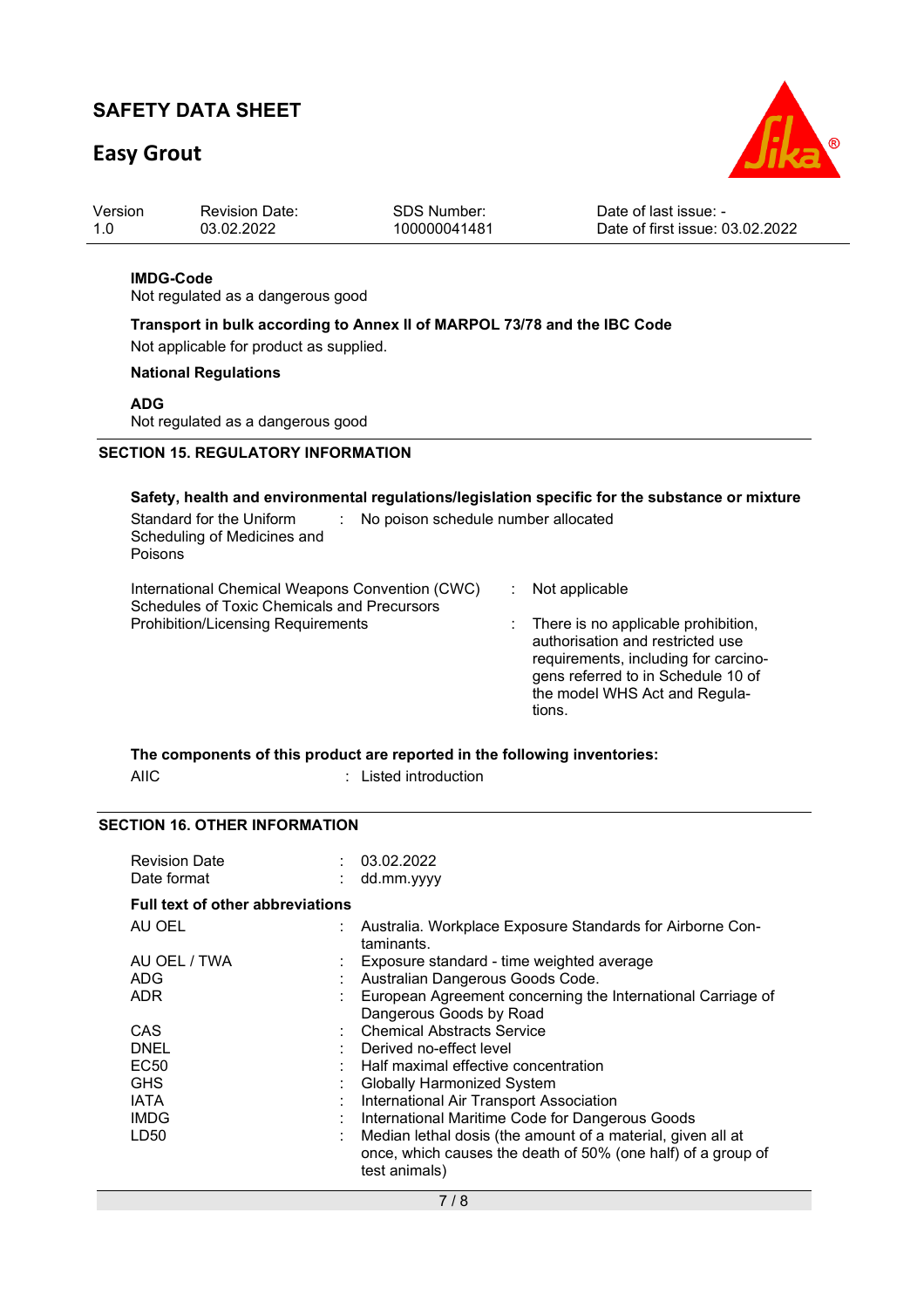# **Easy Grout**



| Version | <b>Revision Date:</b> | SDS Number:  | Date of last issue: -           |
|---------|-----------------------|--------------|---------------------------------|
| 1.0     | 03.02.2022            | 100000041481 | Date of first issue: 03.02.2022 |

#### **IMDG-Code**

Not regulated as a dangerous good

**Transport in bulk according to Annex II of MARPOL 73/78 and the IBC Code** 

Not applicable for product as supplied.

### **National Regulations**

**ADG**

Not regulated as a dangerous good

## **SECTION 15. REGULATORY INFORMATION**

| Safety, health and environmental regulations/legislation specific for the substance or mixture<br>Standard for the Uniform<br>No poison schedule number allocated<br>Scheduling of Medicines and<br>Poisons |                                                                                                                                                                                                                    |
|-------------------------------------------------------------------------------------------------------------------------------------------------------------------------------------------------------------|--------------------------------------------------------------------------------------------------------------------------------------------------------------------------------------------------------------------|
| International Chemical Weapons Convention (CWC)<br>Schedules of Toxic Chemicals and Precursors<br><b>Prohibition/Licensing Requirements</b>                                                                 | Not applicable<br>There is no applicable prohibition,<br>authorisation and restricted use<br>requirements, including for carcino-<br>gens referred to in Schedule 10 of<br>the model WHS Act and Regula-<br>tions. |

### **The components of this product are reported in the following inventories:**  AIIC : Listed introduction

### **SECTION 16. OTHER INFORMATION**

| <b>Revision Date</b><br>Date format     | 03.02.2022<br>dd.mm.yyyy                                                                                                                     |
|-----------------------------------------|----------------------------------------------------------------------------------------------------------------------------------------------|
| <b>Full text of other abbreviations</b> |                                                                                                                                              |
| AU OEL                                  | Australia. Workplace Exposure Standards for Airborne Con-<br>taminants.                                                                      |
| AU OEL / TWA                            | Exposure standard - time weighted average                                                                                                    |
| ADG                                     | Australian Dangerous Goods Code.                                                                                                             |
| ADR.                                    | European Agreement concerning the International Carriage of<br>Dangerous Goods by Road                                                       |
| CAS.                                    | <b>Chemical Abstracts Service</b>                                                                                                            |
| DNEL                                    | Derived no-effect level                                                                                                                      |
| <b>EC50</b>                             | Half maximal effective concentration                                                                                                         |
| <b>GHS</b>                              | Globally Harmonized System                                                                                                                   |
| <b>IATA</b>                             | International Air Transport Association                                                                                                      |
| <b>IMDG</b>                             | International Maritime Code for Dangerous Goods                                                                                              |
| LD50                                    | Median lethal dosis (the amount of a material, given all at<br>once, which causes the death of 50% (one half) of a group of<br>test animals) |